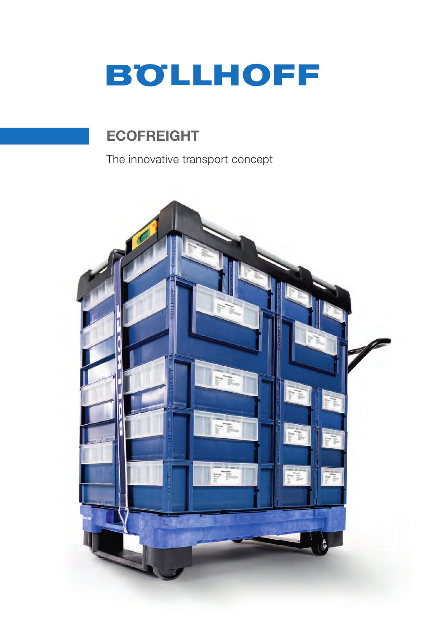

# **ECOFREIGHT**

The innovative transport concept

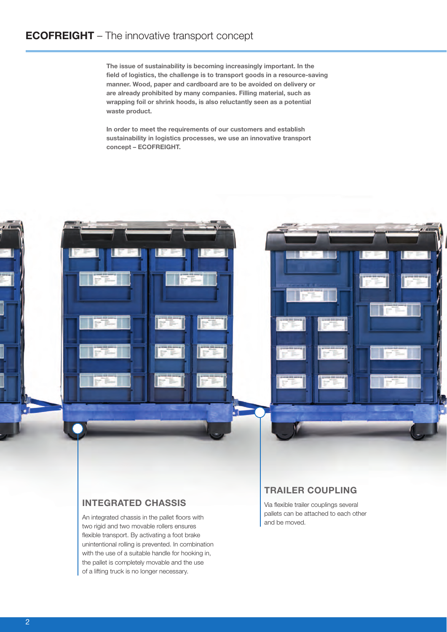The issue of sustainability is becoming increasingly important. In the field of logistics, the challenge is to transport goods in a resource-saving manner. Wood, paper and cardboard are to be avoided on delivery or are already prohibited by many companies. Filling material, such as wrapping foil or shrink hoods, is also reluctantly seen as a potential waste product.

In order to meet the requirements of our customers and establish sustainability in logistics processes, we use an innovative transport concept – ECOFREIGHT.



An integrated chassis in the pallet floors with two rigid and two movable rollers ensures flexible transport. By activating a foot brake unintentional rolling is prevented. In combination with the use of a suitable handle for hooking in, the pallet is completely movable and the use of a lifting truck is no longer necessary.

# TRAILER COUPLING

Via flexible trailer couplings several pallets can be attached to each other and be moved.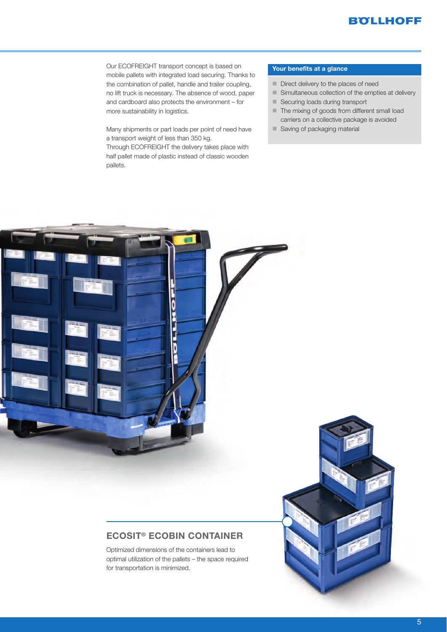Our ECOFREIGHT transport concept is based on mobile pallets with integrated load securing. Thanks to the combination of pallet, handle and trailer coupling, no lift truck is necessary. The absence of wood, paper and cardboard also protects the environment – for more sustainability in logistics.

Many shipments or part loads per point of need have a transport weight of less than 350 kg. Through ECOFREIGHT the delivery takes place with half pallet made of plastic instead of classic wooden pallets.

#### Your benefits at a glance

- Direct delivery to the places of need
- Simultaneous collection of the empties at delivery
- Securing loads during transport
- $\blacksquare$  The mixing of goods from different small load carriers on a collective package is avoided
- Saving of packaging material



## ECOSIT® ECOBIN CONTAINER

Optimized dimensions of the containers lead to optimal utilization of the pallets – the space required for transportation is minimized.

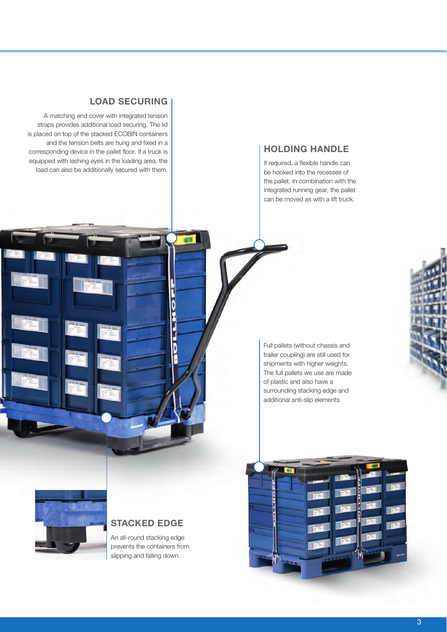### LOAD SECURING

A matching end cover with integrated tension straps provides additional load securing. The lid is placed on top of the stacked ECOBIN containers and the tension belts are hung and fixed in a corresponding device in the pallet floor. If a truck is equipped with lashing eyes in the loading area, the load can also be additionally secured with them.

## HOLDING HANDLE

If required, a flexible handle can be hooked into the recesses of the pallet. In combination with the integrated running gear, the pallet can be moved as with a lift truck.

Full pallets (without chassis and trailer coupling) are still used for shipments with higher weights. The full pallets we use are made of plastic and also have a surrounding stacking edge and additional anti-slip elements.



### STACKED EDGE

0

i<br>F

b

An all-round stacking edge prevents the containers from slipping and falling down.

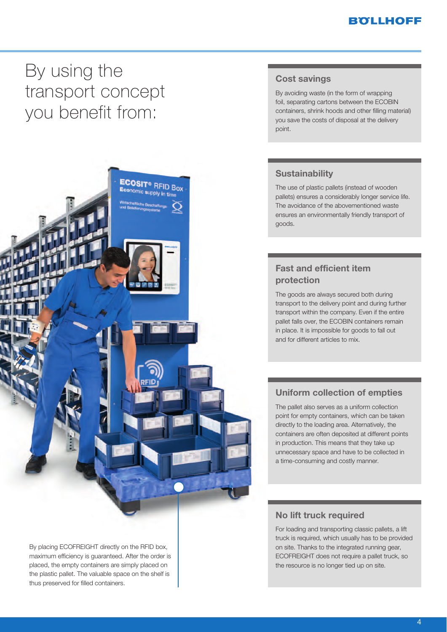# **BOLLHOFF**

# By using the<br>transport concept vou henefit from: you benefit from:



By placing ECOFREIGHT directly on the RFID box, maximum efficiency is guaranteed. After the order is placed, the empty containers are simply placed on the plastic pallet. The valuable space on the shelf is thus preserved for filled containers.

### Cost savings

By avoiding waste (in the form of wrapping foil, separating cartons between the ECOBIN containers, shrink hoods and other filling material) you save the costs of disposal at the delivery point.

### **Sustainability**

The use of plastic pallets (instead of wooden pallets) ensures a considerably longer service life. The avoidance of the abovementioned waste ensures an environmentally friendly transport of goods.

# Fast and efficient item protection

The goods are always secured both during transport to the delivery point and during further transport within the company. Even if the entire pallet falls over, the ECOBIN containers remain in place. It is impossible for goods to fall out and for different articles to mix.

### Uniform collection of empties

The pallet also serves as a uniform collection point for empty containers, which can be taken directly to the loading area. Alternatively, the containers are often deposited at different points in production. This means that they take up unnecessary space and have to be collected in a time-consuming and costly manner.

### No lift truck required

For loading and transporting classic pallets, a lift truck is required, which usually has to be provided on site. Thanks to the integrated running gear, ECOFREIGHT does not require a pallet truck, so the resource is no longer tied up on site.